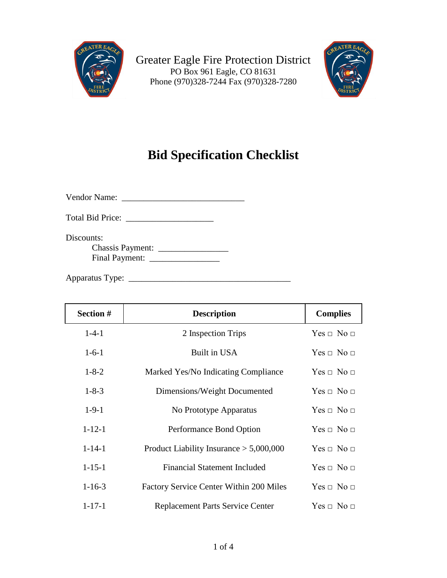



## **Bid Specification Checklist**

Vendor Name: \_\_\_\_\_\_\_\_\_\_\_\_\_\_\_\_\_\_\_\_\_\_\_\_\_\_\_\_

Total Bid Price: \_\_\_\_\_\_\_\_\_\_\_\_\_\_\_\_\_\_\_\_

Discounts: Chassis Payment: \_\_\_\_\_\_\_\_\_\_\_\_\_\_\_\_ Final Payment: \_\_\_\_\_\_\_\_\_\_\_\_\_\_\_\_

Apparatus Type: \_\_\_\_\_\_\_\_\_\_\_\_\_\_\_\_\_\_\_\_\_\_\_\_\_\_\_\_\_\_\_\_\_\_\_\_\_

| Section #    | <b>Description</b>                             | <b>Complies</b>    |
|--------------|------------------------------------------------|--------------------|
| $1 - 4 - 1$  | 2 Inspection Trips                             | $Yes \Box No \Box$ |
| $1-6-1$      | Built in USA                                   | $Yes \Box No \Box$ |
| $1 - 8 - 2$  | Marked Yes/No Indicating Compliance            | $Yes \Box No \Box$ |
| $1 - 8 - 3$  | Dimensions/Weight Documented                   | $Yes \Box No \Box$ |
| $1-9-1$      | No Prototype Apparatus                         | $Yes \Box No \Box$ |
| $1 - 12 - 1$ | Performance Bond Option                        | $Yes \Box No \Box$ |
| $1 - 14 - 1$ | Product Liability Insurance $> 5,000,000$      | $Yes \Box No \Box$ |
| $1 - 15 - 1$ | <b>Financial Statement Included</b>            | $Yes \Box No \Box$ |
| $1 - 16 - 3$ | <b>Factory Service Center Within 200 Miles</b> | $Yes \Box No \Box$ |
| $1 - 17 - 1$ | Replacement Parts Service Center               | $Yes \Box No \Box$ |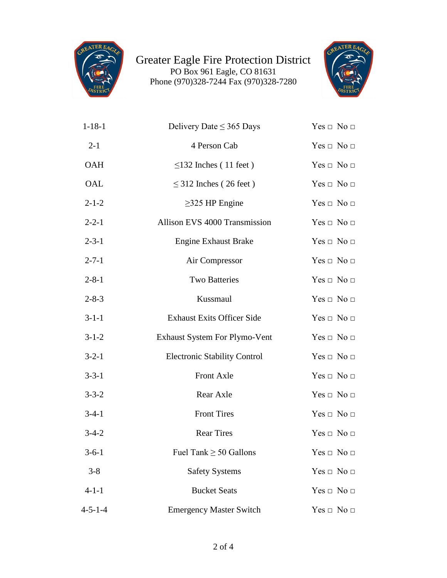



| $1 - 18 - 1$    | Delivery Date $\leq$ 365 Days        | $Yes \Box No \Box$ |
|-----------------|--------------------------------------|--------------------|
| $2 - 1$         | 4 Person Cab                         | $Yes \Box No \Box$ |
| OAH             | $\leq$ 132 Inches (11 feet)          | $Yes \Box No \Box$ |
| OAL             | $\leq$ 312 Inches (26 feet)          | $Yes \Box No \Box$ |
| $2 - 1 - 2$     | $\geq$ 325 HP Engine                 | $Yes \Box No \Box$ |
| $2 - 2 - 1$     | Allison EVS 4000 Transmission        | $Yes \Box No \Box$ |
| $2 - 3 - 1$     | <b>Engine Exhaust Brake</b>          | $Yes \Box No \Box$ |
| $2 - 7 - 1$     | Air Compressor                       | $Yes \Box No \Box$ |
| $2 - 8 - 1$     | <b>Two Batteries</b>                 | $Yes \Box No \Box$ |
| $2 - 8 - 3$     | Kussmaul                             | $Yes \Box No \Box$ |
| $3 - 1 - 1$     | <b>Exhaust Exits Officer Side</b>    | $Yes \Box No \Box$ |
| $3 - 1 - 2$     | <b>Exhaust System For Plymo-Vent</b> | $Yes \Box No \Box$ |
| $3 - 2 - 1$     | <b>Electronic Stability Control</b>  | $Yes \Box No \Box$ |
| $3 - 3 - 1$     | Front Axle                           | $Yes \Box No \Box$ |
| $3 - 3 - 2$     | Rear Axle                            | $Yes \Box No \Box$ |
| $3-4-1$         | <b>Front Tires</b>                   | $Yes \Box No \Box$ |
| $3-4-2$         | <b>Rear Tires</b>                    | $Yes \Box No \Box$ |
| $3 - 6 - 1$     | Fuel Tank $\geq$ 50 Gallons          | $Yes \Box No \Box$ |
| $3 - 8$         | <b>Safety Systems</b>                | $Yes \Box No \Box$ |
| $4 - 1 - 1$     | <b>Bucket Seats</b>                  | $Yes \Box No \Box$ |
| $4 - 5 - 1 - 4$ | <b>Emergency Master Switch</b>       | $Yes \Box No \Box$ |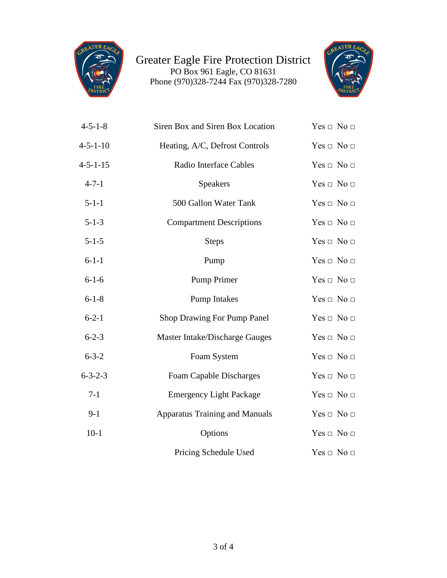



| $4 - 5 - 1 - 8$  | Siren Box and Siren Box Location      | $Yes \Box No \Box$ |
|------------------|---------------------------------------|--------------------|
| $4 - 5 - 1 - 10$ | Heating, A/C, Defrost Controls        | $Yes \Box No \Box$ |
| $4 - 5 - 1 - 15$ | Radio Interface Cables                | $Yes \Box No \Box$ |
| $4 - 7 - 1$      | Speakers                              | $Yes \Box No \Box$ |
| $5 - 1 - 1$      | 500 Gallon Water Tank                 | $Yes \Box No \Box$ |
| $5 - 1 - 3$      | <b>Compartment Descriptions</b>       | $Yes \Box No \Box$ |
| $5 - 1 - 5$      | <b>Steps</b>                          | $Yes \Box No \Box$ |
| $6 - 1 - 1$      | Pump                                  | $Yes \Box No \Box$ |
| $6 - 1 - 6$      | <b>Pump Primer</b>                    | $Yes \Box No \Box$ |
| $6 - 1 - 8$      | <b>Pump Intakes</b>                   | $Yes \Box No \Box$ |
| $6 - 2 - 1$      | Shop Drawing For Pump Panel           | $Yes \Box No \Box$ |
| $6 - 2 - 3$      | Master Intake/Discharge Gauges        | $Yes \Box No \Box$ |
| $6 - 3 - 2$      | Foam System                           | $Yes \Box No \Box$ |
| $6 - 3 - 2 - 3$  | Foam Capable Discharges               | $Yes \Box No \Box$ |
| $7-1$            | <b>Emergency Light Package</b>        | $Yes \Box No \Box$ |
| $9-1$            | <b>Apparatus Training and Manuals</b> | $Yes \Box No \Box$ |
| $10-1$           | Options                               | $Yes \Box No \Box$ |
|                  | Pricing Schedule Used                 | $Yes \Box No \Box$ |